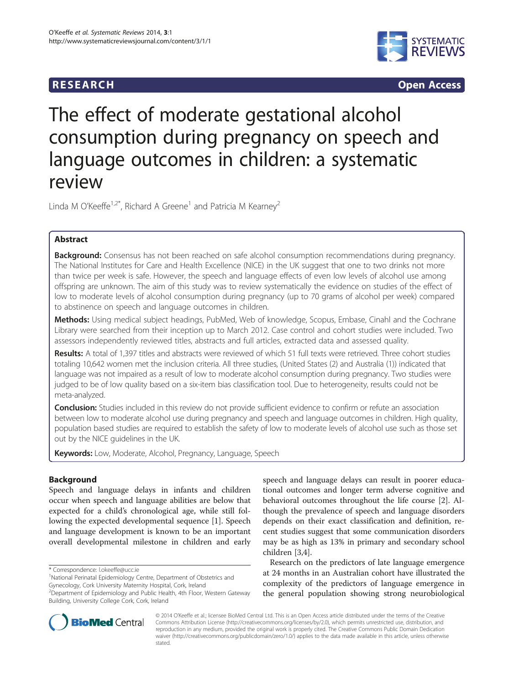# **RESEARCH RESEARCH CONSUMING ACCESS**



# The effect of moderate gestational alcohol consumption during pregnancy on speech and language outcomes in children: a systematic review

Linda M O'Keeffe<sup>1,2\*</sup>, Richard A Greene<sup>1</sup> and Patricia M Kearney<sup>2</sup>

# Abstract

**Background:** Consensus has not been reached on safe alcohol consumption recommendations during pregnancy. The National Institutes for Care and Health Excellence (NICE) in the UK suggest that one to two drinks not more than twice per week is safe. However, the speech and language effects of even low levels of alcohol use among offspring are unknown. The aim of this study was to review systematically the evidence on studies of the effect of low to moderate levels of alcohol consumption during pregnancy (up to 70 grams of alcohol per week) compared to abstinence on speech and language outcomes in children.

Methods: Using medical subject headings, PubMed, Web of knowledge, Scopus, Embase, Cinahl and the Cochrane Library were searched from their inception up to March 2012. Case control and cohort studies were included. Two assessors independently reviewed titles, abstracts and full articles, extracted data and assessed quality.

Results: A total of 1,397 titles and abstracts were reviewed of which 51 full texts were retrieved. Three cohort studies totaling 10,642 women met the inclusion criteria. All three studies, (United States (2) and Australia (1)) indicated that language was not impaired as a result of low to moderate alcohol consumption during pregnancy. Two studies were judged to be of low quality based on a six-item bias classification tool. Due to heterogeneity, results could not be meta-analyzed.

**Conclusion:** Studies included in this review do not provide sufficient evidence to confirm or refute an association between low to moderate alcohol use during pregnancy and speech and language outcomes in children. High quality, population based studies are required to establish the safety of low to moderate levels of alcohol use such as those set out by the NICE guidelines in the UK.

Keywords: Low, Moderate, Alcohol, Pregnancy, Language, Speech

# Background

Speech and language delays in infants and children occur when speech and language abilities are below that expected for a child's chronological age, while still following the expected developmental sequence [\[1](#page-9-0)]. Speech and language development is known to be an important overall developmental milestone in children and early

speech and language delays can result in poorer educational outcomes and longer term adverse cognitive and behavioral outcomes throughout the life course [\[2](#page-9-0)]. Although the prevalence of speech and language disorders depends on their exact classification and definition, recent studies suggest that some communication disorders may be as high as 13% in primary and secondary school children [\[3,4](#page-9-0)].

Research on the predictors of late language emergence at 24 months in an Australian cohort have illustrated the complexity of the predictors of language emergence in the general population showing strong neurobiological



© 2014 O'Keeffe et al.; licensee BioMed Central Ltd. This is an Open Access article distributed under the terms of the Creative Commons Attribution License [\(http://creativecommons.org/licenses/by/2.0\)](http://creativecommons.org/licenses/by/2.0), which permits unrestricted use, distribution, and reproduction in any medium, provided the original work is properly cited. The Creative Commons Public Domain Dedication waiver [\(http://creativecommons.org/publicdomain/zero/1.0/\)](http://creativecommons.org/publicdomain/zero/1.0/) applies to the data made available in this article, unless otherwise stated.

<sup>\*</sup> Correspondence: [l.okeeffe@ucc.ie](mailto:l.okeeffe@ucc.ie) <sup>1</sup>

National Perinatal Epidemiology Centre, Department of Obstetrics and Gynecology, Cork University Maternity Hospital, Cork, Ireland

<sup>&</sup>lt;sup>2</sup> Department of Epidemiology and Public Health, 4th Floor, Western Gateway Building, University College Cork, Cork, Ireland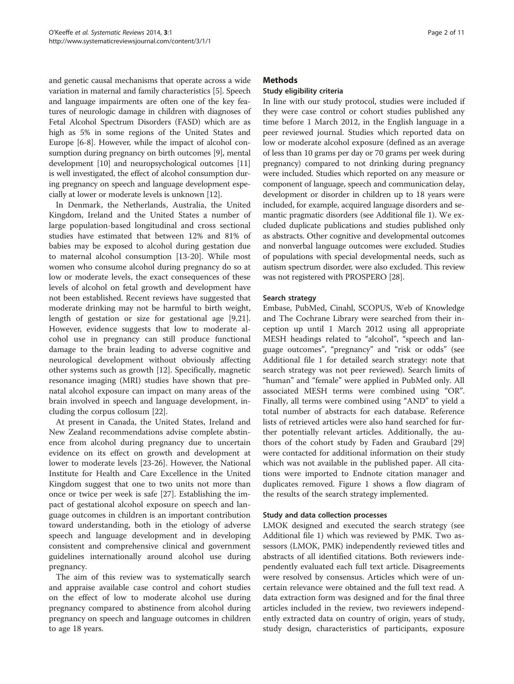and genetic causal mechanisms that operate across a wide variation in maternal and family characteristics [[5](#page-9-0)]. Speech and language impairments are often one of the key features of neurologic damage in children with diagnoses of Fetal Alcohol Spectrum Disorders (FASD) which are as high as 5% in some regions of the United States and Europe [\[6](#page-9-0)-[8](#page-9-0)]. However, while the impact of alcohol consumption during pregnancy on birth outcomes [\[9](#page-9-0)], mental development [\[10](#page-9-0)] and neuropsychological outcomes [[11](#page-9-0)] is well investigated, the effect of alcohol consumption during pregnancy on speech and language development especially at lower or moderate levels is unknown [[12](#page-9-0)].

In Denmark, the Netherlands, Australia, the United Kingdom, Ireland and the United States a number of large population-based longitudinal and cross sectional studies have estimated that between 12% and 81% of babies may be exposed to alcohol during gestation due to maternal alcohol consumption [\[13-20](#page-9-0)]. While most women who consume alcohol during pregnancy do so at low or moderate levels, the exact consequences of these levels of alcohol on fetal growth and development have not been established. Recent reviews have suggested that moderate drinking may not be harmful to birth weight, length of gestation or size for gestational age [\[9,21](#page-9-0)]. However, evidence suggests that low to moderate alcohol use in pregnancy can still produce functional damage to the brain leading to adverse cognitive and neurological development without obviously affecting other systems such as growth [\[12](#page-9-0)]. Specifically, magnetic resonance imaging (MRI) studies have shown that prenatal alcohol exposure can impact on many areas of the brain involved in speech and language development, including the corpus collosum [\[22](#page-10-0)].

At present in Canada, the United States, Ireland and New Zealand recommendations advise complete abstinence from alcohol during pregnancy due to uncertain evidence on its effect on growth and development at lower to moderate levels [[23](#page-10-0)-[26\]](#page-10-0). However, the National Institute for Health and Care Excellence in the United Kingdom suggest that one to two units not more than once or twice per week is safe [[27\]](#page-10-0). Establishing the impact of gestational alcohol exposure on speech and language outcomes in children is an important contribution toward understanding, both in the etiology of adverse speech and language development and in developing consistent and comprehensive clinical and government guidelines internationally around alcohol use during pregnancy.

The aim of this review was to systematically search and appraise available case control and cohort studies on the effect of low to moderate alcohol use during pregnancy compared to abstinence from alcohol during pregnancy on speech and language outcomes in children to age 18 years.

# **Methods**

# Study eligibility criteria

In line with our study protocol, studies were included if they were case control or cohort studies published any time before 1 March 2012, in the English language in a peer reviewed journal. Studies which reported data on low or moderate alcohol exposure (defined as an average of less than 10 grams per day or 70 grams per week during pregnancy) compared to not drinking during pregnancy were included. Studies which reported on any measure or component of language, speech and communication delay, development or disorder in children up to 18 years were included, for example, acquired language disorders and semantic pragmatic disorders (see Additional file [1\)](#page-9-0). We excluded duplicate publications and studies published only as abstracts. Other cognitive and developmental outcomes and nonverbal language outcomes were excluded. Studies of populations with special developmental needs, such as autism spectrum disorder, were also excluded. This review was not registered with PROSPERO [\[28\]](#page-10-0).

#### Search strategy

Embase, PubMed, Cinahl, SCOPUS, Web of Knowledge and The Cochrane Library were searched from their inception up until 1 March 2012 using all appropriate MESH headings related to "alcohol", "speech and language outcomes", "pregnancy" and "risk or odds" (see Additional file [1](#page-9-0) for detailed search strategy: note that search strategy was not peer reviewed). Search limits of "human" and "female" were applied in PubMed only. All associated MESH terms were combined using "OR". Finally, all terms were combined using "AND" to yield a total number of abstracts for each database. Reference lists of retrieved articles were also hand searched for further potentially relevant articles. Additionally, the authors of the cohort study by Faden and Graubard [[29](#page-10-0)] were contacted for additional information on their study which was not available in the published paper. All citations were imported to Endnote citation manager and duplicates removed. Figure [1](#page-2-0) shows a flow diagram of the results of the search strategy implemented.

#### Study and data collection processes

LMOK designed and executed the search strategy (see Additional file [1](#page-9-0)) which was reviewed by PMK. Two assessors (LMOK, PMK) independently reviewed titles and abstracts of all identified citations. Both reviewers independently evaluated each full text article. Disagreements were resolved by consensus. Articles which were of uncertain relevance were obtained and the full text read. A data extraction form was designed and for the final three articles included in the review, two reviewers independently extracted data on country of origin, years of study, study design, characteristics of participants, exposure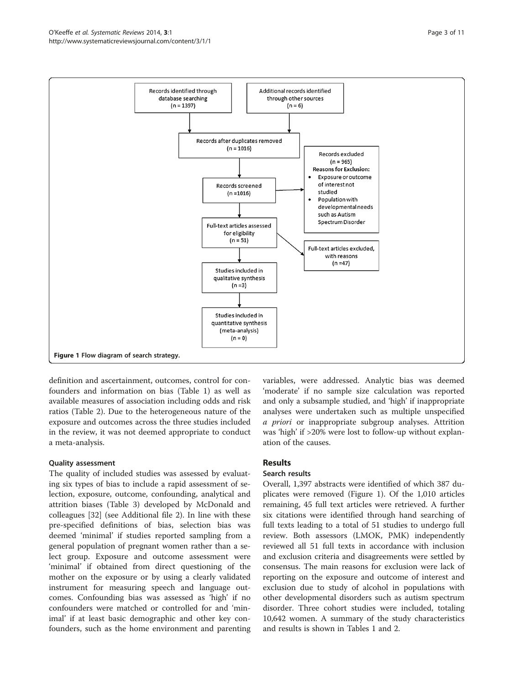<span id="page-2-0"></span>

definition and ascertainment, outcomes, control for confounders and information on bias (Table [1\)](#page-3-0) as well as available measures of association including odds and risk ratios (Table [2\)](#page-4-0). Due to the heterogeneous nature of the exposure and outcomes across the three studies included in the review, it was not deemed appropriate to conduct a meta-analysis.

# Quality assessment

The quality of included studies was assessed by evaluating six types of bias to include a rapid assessment of selection, exposure, outcome, confounding, analytical and attrition biases (Table [3\)](#page-6-0) developed by McDonald and colleagues [\[32\]](#page-10-0) (see Additional file [2](#page-9-0)). In line with these pre-specified definitions of bias, selection bias was deemed 'minimal' if studies reported sampling from a general population of pregnant women rather than a select group. Exposure and outcome assessment were 'minimal' if obtained from direct questioning of the mother on the exposure or by using a clearly validated instrument for measuring speech and language outcomes. Confounding bias was assessed as 'high' if no confounders were matched or controlled for and 'minimal' if at least basic demographic and other key confounders, such as the home environment and parenting variables, were addressed. Analytic bias was deemed 'moderate' if no sample size calculation was reported and only a subsample studied, and 'high' if inappropriate analyses were undertaken such as multiple unspecified a priori or inappropriate subgroup analyses. Attrition was 'high' if >20% were lost to follow-up without explanation of the causes.

# Results

# Search results

Overall, 1,397 abstracts were identified of which 387 duplicates were removed (Figure 1). Of the 1,010 articles remaining, 45 full text articles were retrieved. A further six citations were identified through hand searching of full texts leading to a total of 51 studies to undergo full review. Both assessors (LMOK, PMK) independently reviewed all 51 full texts in accordance with inclusion and exclusion criteria and disagreements were settled by consensus. The main reasons for exclusion were lack of reporting on the exposure and outcome of interest and exclusion due to study of alcohol in populations with other developmental disorders such as autism spectrum disorder. Three cohort studies were included, totaling 10,642 women. A summary of the study characteristics and results is shown in Tables [1](#page-3-0) and [2.](#page-4-0)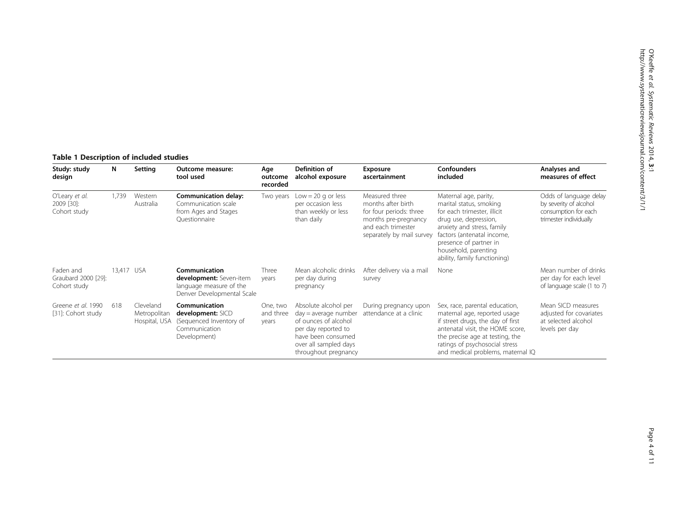# <span id="page-3-0"></span>Table 1 Description of included studies

| Study: study<br>design                           | N          | Setting                                    | Outcome measure:<br>tool used                                                                     | Age<br>outcome<br>recorded     | Definition of<br>alcohol exposure                                                                                                                                    | Exposure<br>ascertainment                                                                                                                  | <b>Confounders</b><br>included                                                                                                                                                                                                                         | Analyses and<br>measures of effect                                                                 |
|--------------------------------------------------|------------|--------------------------------------------|---------------------------------------------------------------------------------------------------|--------------------------------|----------------------------------------------------------------------------------------------------------------------------------------------------------------------|--------------------------------------------------------------------------------------------------------------------------------------------|--------------------------------------------------------------------------------------------------------------------------------------------------------------------------------------------------------------------------------------------------------|----------------------------------------------------------------------------------------------------|
| O'Leary et al.<br>2009 [30]:<br>Cohort study     | 1,739      | Western<br>Australia                       | Communication delay:<br>Communication scale<br>from Ages and Stages<br>Questionnaire              | Two years                      | Low = 20 g or less<br>per occasion less<br>than weekly or less<br>than daily                                                                                         | Measured three<br>months after birth<br>for four periods: three<br>months pre-pregnancy<br>and each trimester<br>separately by mail survey | Maternal age, parity,<br>marital status, smoking<br>for each trimester, illicit<br>drug use, depression,<br>anxiety and stress, family<br>factors (antenatal income,<br>presence of partner in<br>household, parenting<br>ability, family functioning) | Odds of language delay<br>by severity of alcohol<br>consumption for each<br>trimester individually |
| Faden and<br>Graubard 2000 [29]:<br>Cohort study | 13,417 USA |                                            | Communication<br>development: Seven-item<br>language measure of the<br>Denver Developmental Scale | Three<br>years                 | Mean alcoholic drinks<br>per day during<br>pregnancy                                                                                                                 | After delivery via a mail<br>survey                                                                                                        | None                                                                                                                                                                                                                                                   | Mean number of drinks<br>per day for each level<br>of language scale (1 to 7)                      |
| Greene et al. 1990<br>[31]: Cohort study         | 618        | Cleveland<br>Metropolitan<br>Hospital, USA | Communication<br>development: SICD<br>(Sequenced Inventory of<br>Communication<br>Development)    | One, two<br>and three<br>years | Absolute alcohol per<br>$day = average$ number<br>of ounces of alcohol<br>per day reported to<br>have been consumed<br>over all sampled days<br>throughout pregnancy | During pregnancy upon<br>attendance at a clinic                                                                                            | Sex, race, parental education,<br>maternal age, reported usage<br>if street drugs, the day of first<br>antenatal visit, the HOME score,<br>the precise age at testing, the<br>ratings of psychosocial stress<br>and medical problems, maternal IQ      | Mean SICD measures<br>adjusted for covariates<br>at selected alcohol<br>levels per day             |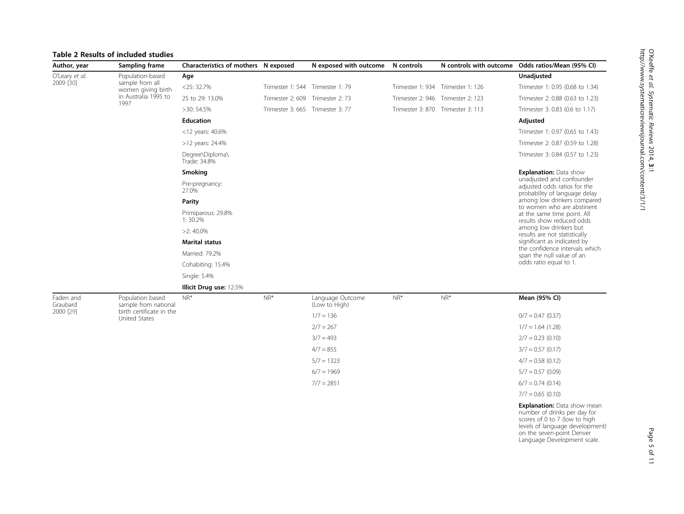# <span id="page-4-0"></span>Table 2 Results of included studies

| Author, year                | Sampling frame                        | Characteristics of mothers N exposed |                                  | N exposed with outcome | N controls | N controls with outcome           | Odds ratios/Mean (95% CI)                                                                  |
|-----------------------------|---------------------------------------|--------------------------------------|----------------------------------|------------------------|------------|-----------------------------------|--------------------------------------------------------------------------------------------|
| O'Leary et al.<br>2009 [30] | Population-based                      | Age                                  |                                  |                        |            |                                   | Unadjusted                                                                                 |
|                             | sample from all<br>women giving birth | $<$ 25: 32.7%                        | Trimester 1: 544 Trimester 1: 79 |                        |            | Trimester 1: 934 Trimester 1: 126 | Trimester 1: 0.95 (0.68 to 1.34)                                                           |
|                             | in Australia 1995 to<br>1997          | 25 to 29: 13.0%                      | Trimester 2: 609 Trimester 2: 73 |                        |            | Trimester 2: 946 Trimester 2: 123 | Trimester 2: 0.88 (0.63 to 1.23)                                                           |
|                             |                                       | >30: 54.5%                           | Trimester 3: 665 Trimester 3: 77 |                        |            | Trimester 3: 870 Trimester 3: 113 | Trimester 3: 0.83 (0.6 to 1.17)                                                            |
|                             |                                       | <b>Education</b>                     |                                  |                        |            |                                   | Adjusted                                                                                   |
|                             |                                       | $<$ 12 years: 40.6%                  |                                  |                        |            |                                   | Trimester 1: 0.97 (0.65 to 1.43)                                                           |
|                             |                                       | $>12$ years: 24.4%                   |                                  |                        |            |                                   | Trimester 2: 0.87 (0.59 to 1.28)                                                           |
|                             |                                       | Degree\Diploma\<br>Trade: 34.8%      |                                  |                        |            |                                   | Trimester 3: 0.84 (0.57 to 1.23)                                                           |
|                             |                                       | Smoking                              |                                  |                        |            |                                   | <b>Explanation: Data show</b>                                                              |
|                             |                                       | Pre-pregnancy:<br>27.0%              |                                  |                        |            |                                   | unadjusted and confounder<br>adjusted odds ratios for the<br>probability of language delay |
|                             |                                       | Parity                               |                                  |                        |            |                                   | among low drinkers compared<br>to women who are abstinent                                  |
|                             |                                       | Primiparous: 29.8%<br>1:30.2%        |                                  |                        |            |                                   | at the same time point. All<br>results show reduced odds                                   |
|                             |                                       | $>2$ : 40.0%                         |                                  |                        |            |                                   | among low drinkers but<br>results are not statistically                                    |
|                             |                                       | <b>Marital status</b>                |                                  |                        |            |                                   | significant as indicated by                                                                |
|                             |                                       | Married: 79.2%                       |                                  |                        |            |                                   | the confidence intervals which<br>span the null value of an                                |
|                             |                                       | Cohabiting: 15.4%                    |                                  |                        |            |                                   | odds ratio equal to 1.                                                                     |

Single: 5.4%

#### Illicit Drug use: 12.5%

Faden and Graubard 2000 [\[29](#page-10-0)]

Population based sample from national birth certificate in the United States

| $NR^*$ | Language Outcome<br>(Low to High) | $NR^*$ | $NR^*$ | Mean (95% CI)       |
|--------|-----------------------------------|--------|--------|---------------------|
|        | $1/7 = 136$                       |        |        | $0/7 = 0.47$ (0.37) |
|        | $2/7 = 267$                       |        |        | $1/7 = 1.64(1.28)$  |
|        | $3/7 = 493$                       |        |        | $2/7 = 0.23(0.10)$  |
|        | $4/7 = 855$                       |        |        | $3/7 = 0.57(0.17)$  |
|        | $5/7 = 1323$                      |        |        | $4/7 = 0.58(0.12)$  |
|        | $6/7 = 1969$                      |        |        | $5/7 = 0.57(0.09)$  |
|        | $7/7 = 2851$                      |        |        | $6/7 = 0.74(0.14)$  |
|        |                                   |        |        | $7/7 = 0.65(0.10)$  |
|        |                                   |        |        |                     |

**Explanation:** Data show mean<br>number of drinks per day for<br>scores of 0 to 7 (low to high<br>levels of language development)<br>on the seven-point Denver<br>Language Development scale.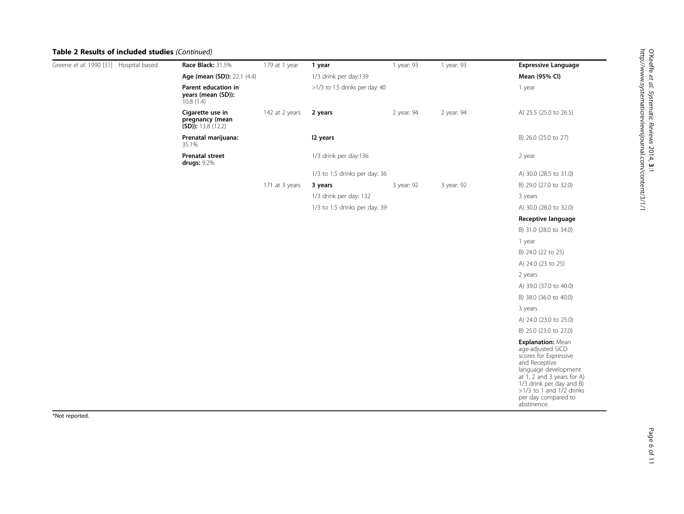# O'Keeffe et al. Systematic Reviews 2014, 3:1 http://www.systematicreviewsjournal.com/content/3/1/1

# Table 2 Results of included studies (Continued)

| Greene et al. 1990 [31] Hospital based | Race Black: 31.5%                                           | 179 at 1 year  | 1 year                         | 1 year: 93 | 1 year: 93 | <b>Expressive Language</b>                                                                                                                                                                                                               |
|----------------------------------------|-------------------------------------------------------------|----------------|--------------------------------|------------|------------|------------------------------------------------------------------------------------------------------------------------------------------------------------------------------------------------------------------------------------------|
|                                        | Age (mean (SD)): 22.1 (4.4)                                 |                | 1/3 drink per day:139          |            |            | Mean (95% CI)                                                                                                                                                                                                                            |
|                                        | Parent education in<br>years (mean (SD)):<br>10.8(1.4)      |                | >1/3 to 1.5 drinks per day: 40 |            |            | 1 year                                                                                                                                                                                                                                   |
|                                        | Cigarette use in<br>pregnancy (mean<br>$(SD)$ : 13.8 (12.2) | 142 at 2 years | 2 years                        | 2 year: 94 | 2 year: 94 | A) 25.5 (25.0 to 26.5)                                                                                                                                                                                                                   |
|                                        | Prenatal marijuana:<br>35.1%                                |                | 12 years                       |            |            | B) 26.0 (25.0 to 27)                                                                                                                                                                                                                     |
|                                        | <b>Prenatal street</b><br>drugs: 9.2%                       |                | 1/3 drink per day:136          |            |            | 2 year                                                                                                                                                                                                                                   |
|                                        |                                                             |                | 1/3 to 1.5 drinks per day: 36  |            |            | A) 30.0 (28.5 to 31.0)                                                                                                                                                                                                                   |
|                                        |                                                             | 171 at 3 years | 3 years                        | 3 year: 92 | 3 year: 92 | B) 29.0 (27.0 to 32.0)                                                                                                                                                                                                                   |
|                                        |                                                             |                | 1/3 drink per day: 132         |            |            | 3 years                                                                                                                                                                                                                                  |
|                                        |                                                             |                | 1/3 to 1.5 drinks per day: 39  |            |            | A) 30.0 (28.0 to 32.0)                                                                                                                                                                                                                   |
|                                        |                                                             |                |                                |            |            | Receptive language                                                                                                                                                                                                                       |
|                                        |                                                             |                |                                |            |            | B) 31.0 (28.0 to 34.0)                                                                                                                                                                                                                   |
|                                        |                                                             |                |                                |            |            | 1 year                                                                                                                                                                                                                                   |
|                                        |                                                             |                |                                |            |            | B) 24.0 (22 to 25)                                                                                                                                                                                                                       |
|                                        |                                                             |                |                                |            |            | A) 24.0 (23 to 25)                                                                                                                                                                                                                       |
|                                        |                                                             |                |                                |            |            | 2 years                                                                                                                                                                                                                                  |
|                                        |                                                             |                |                                |            |            | A) 39.0 (37.0 to 40.0)                                                                                                                                                                                                                   |
|                                        |                                                             |                |                                |            |            | B) 38.0 (36.0 to 40.0)                                                                                                                                                                                                                   |
|                                        |                                                             |                |                                |            |            | 3 years                                                                                                                                                                                                                                  |
|                                        |                                                             |                |                                |            |            | A) 24.0 (23.0 to 25.0)                                                                                                                                                                                                                   |
|                                        |                                                             |                |                                |            |            | B) 25.0 (23.0 to 27.0)                                                                                                                                                                                                                   |
|                                        |                                                             |                |                                |            |            | Explanation: Mean<br>age-adjusted SICD<br>scores for Expressive<br>and Receptive<br>language development<br>at 1, 2 and 3 years for A)<br>1/3 drink per day and B)<br>$>1/3$ to 1 and $1/2$ drinks<br>per day compared to<br>abstinence. |

\*Not reported.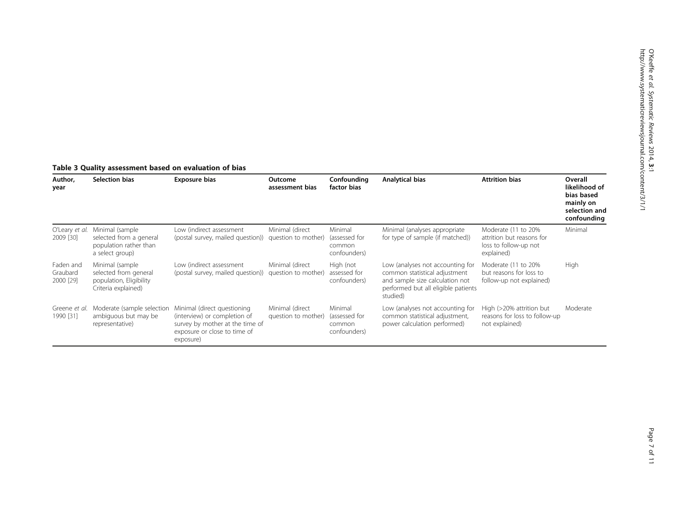# <span id="page-6-0"></span>Table 3 Quality assessment based on evaluation of bias

| Author,<br>year                    | Selection bias                                                                             | Exposure bias                                                                                                                               | Outcome<br>assessment bias             | Confounding<br>factor bias                         | Analytical bias                                                                                                                                         | <b>Attrition bias</b>                                                                   | Overall<br>likelihood of<br>bias based<br>mainly on<br>selection and<br>confounding |
|------------------------------------|--------------------------------------------------------------------------------------------|---------------------------------------------------------------------------------------------------------------------------------------------|----------------------------------------|----------------------------------------------------|---------------------------------------------------------------------------------------------------------------------------------------------------------|-----------------------------------------------------------------------------------------|-------------------------------------------------------------------------------------|
| O'Leary et al.<br>2009 [30]        | Minimal (sample<br>selected from a general<br>population rather than<br>a select group)    | Low (indirect assessment<br>(postal survey, mailed question))                                                                               | Minimal (direct<br>question to mother) | Minimal<br>(assessed for<br>common<br>confounders) | Minimal (analyses appropriate<br>for type of sample (if matched))                                                                                       | Moderate (11 to 20%<br>attrition but reasons for<br>loss to follow-up not<br>explained) | Minimal                                                                             |
| Faden and<br>Graubard<br>2000 [29] | Minimal (sample<br>selected from general<br>population, Eligibility<br>Criteria explained) | Low (indirect assessment<br>(postal survey, mailed question))                                                                               | Minimal (direct<br>question to mother) | High (not<br>assessed for<br>confounders)          | Low (analyses not accounting for<br>common statistical adjustment<br>and sample size calculation not<br>performed but all eligible patients<br>studied) | Moderate (11 to 20%<br>but reasons for loss to<br>follow-up not explained)              | High                                                                                |
| Greene et al.<br>1990 [31]         | Moderate (sample selection<br>ambiguous but may be<br>representative)                      | Minimal (direct questioning<br>(interview) or completion of<br>survey by mother at the time of<br>exposure or close to time of<br>exposure) | Minimal (direct<br>question to mother) | Minimal<br>(assessed for<br>common<br>confounders) | Low (analyses not accounting for<br>common statistical adjustment,<br>power calculation performed)                                                      | High (>20% attrition but<br>reasons for loss to follow-up<br>not explained)             | Moderate                                                                            |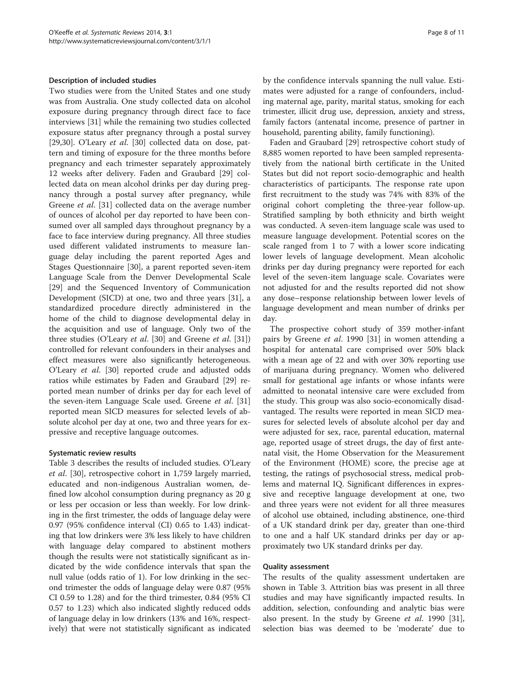#### Description of included studies

Two studies were from the United States and one study was from Australia. One study collected data on alcohol exposure during pregnancy through direct face to face interviews [\[31](#page-10-0)] while the remaining two studies collected exposure status after pregnancy through a postal survey [[29,30\]](#page-10-0). O'Leary et al. [\[30\]](#page-10-0) collected data on dose, pattern and timing of exposure for the three months before pregnancy and each trimester separately approximately 12 weeks after delivery. Faden and Graubard [\[29](#page-10-0)] collected data on mean alcohol drinks per day during pregnancy through a postal survey after pregnancy, while Greene et al. [\[31](#page-10-0)] collected data on the average number of ounces of alcohol per day reported to have been consumed over all sampled days throughout pregnancy by a face to face interview during pregnancy. All three studies used different validated instruments to measure language delay including the parent reported Ages and Stages Questionnaire [[30](#page-10-0)], a parent reported seven-item Language Scale from the Denver Developmental Scale [[29\]](#page-10-0) and the Sequenced Inventory of Communication Development (SICD) at one, two and three years [\[31](#page-10-0)], a standardized procedure directly administered in the home of the child to diagnose developmental delay in the acquisition and use of language. Only two of the three studies (O'Leary et al. [[30\]](#page-10-0) and Greene et al. [\[31](#page-10-0)]) controlled for relevant confounders in their analyses and effect measures were also significantly heterogeneous. O'Leary et al. [\[30\]](#page-10-0) reported crude and adjusted odds ratios while estimates by Faden and Graubard [\[29](#page-10-0)] reported mean number of drinks per day for each level of the seven-item Language Scale used. Greene et al. [[31](#page-10-0)] reported mean SICD measures for selected levels of absolute alcohol per day at one, two and three years for expressive and receptive language outcomes.

#### Systematic review results

Table [3](#page-6-0) describes the results of included studies. O'Leary et al. [\[30](#page-10-0)], retrospective cohort in 1,759 largely married, educated and non-indigenous Australian women, defined low alcohol consumption during pregnancy as 20 g or less per occasion or less than weekly. For low drinking in the first trimester, the odds of language delay were 0.97 (95% confidence interval (CI) 0.65 to 1.43) indicating that low drinkers were 3% less likely to have children with language delay compared to abstinent mothers though the results were not statistically significant as indicated by the wide confidence intervals that span the null value (odds ratio of 1). For low drinking in the second trimester the odds of language delay were 0.87 (95% CI 0.59 to 1.28) and for the third trimester, 0.84 (95% CI 0.57 to 1.23) which also indicated slightly reduced odds of language delay in low drinkers (13% and 16%, respectively) that were not statistically significant as indicated by the confidence intervals spanning the null value. Estimates were adjusted for a range of confounders, including maternal age, parity, marital status, smoking for each trimester, illicit drug use, depression, anxiety and stress, family factors (antenatal income, presence of partner in household, parenting ability, family functioning).

Faden and Graubard [[29\]](#page-10-0) retrospective cohort study of 8,885 women reported to have been sampled representatively from the national birth certificate in the United States but did not report socio-demographic and health characteristics of participants. The response rate upon first recruitment to the study was 74% with 83% of the original cohort completing the three-year follow-up. Stratified sampling by both ethnicity and birth weight was conducted. A seven-item language scale was used to measure language development. Potential scores on the scale ranged from 1 to 7 with a lower score indicating lower levels of language development. Mean alcoholic drinks per day during pregnancy were reported for each level of the seven-item language scale. Covariates were not adjusted for and the results reported did not show any dose–response relationship between lower levels of language development and mean number of drinks per day.

The prospective cohort study of 359 mother-infant pairs by Greene et al. 1990 [\[31](#page-10-0)] in women attending a hospital for antenatal care comprised over 50% black with a mean age of 22 and with over 30% reporting use of marijuana during pregnancy. Women who delivered small for gestational age infants or whose infants were admitted to neonatal intensive care were excluded from the study. This group was also socio-economically disadvantaged. The results were reported in mean SICD measures for selected levels of absolute alcohol per day and were adjusted for sex, race, parental education, maternal age, reported usage of street drugs, the day of first antenatal visit, the Home Observation for the Measurement of the Environment (HOME) score, the precise age at testing, the ratings of psychosocial stress, medical problems and maternal IQ. Significant differences in expressive and receptive language development at one, two and three years were not evident for all three measures of alcohol use obtained, including abstinence, one-third of a UK standard drink per day, greater than one-third to one and a half UK standard drinks per day or approximately two UK standard drinks per day.

#### Quality assessment

The results of the quality assessment undertaken are shown in Table [3.](#page-6-0) Attrition bias was present in all three studies and may have significantly impacted results. In addition, selection, confounding and analytic bias were also present. In the study by Greene et al. 1990 [\[31](#page-10-0)], selection bias was deemed to be 'moderate' due to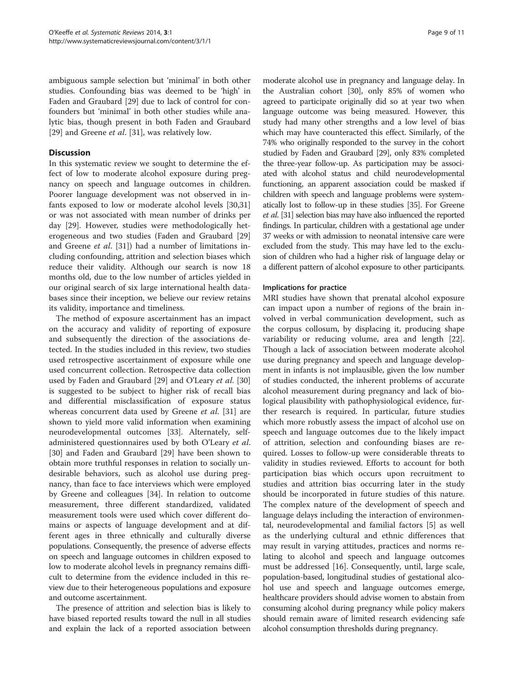ambiguous sample selection but 'minimal' in both other studies. Confounding bias was deemed to be 'high' in Faden and Graubard [[29\]](#page-10-0) due to lack of control for confounders but 'minimal' in both other studies while analytic bias, though present in both Faden and Graubard [[29\]](#page-10-0) and Greene *et al.* [[31\]](#page-10-0), was relatively low.

# **Discussion**

In this systematic review we sought to determine the effect of low to moderate alcohol exposure during pregnancy on speech and language outcomes in children. Poorer language development was not observed in infants exposed to low or moderate alcohol levels [[30](#page-10-0),[31](#page-10-0)] or was not associated with mean number of drinks per day [[29\]](#page-10-0). However, studies were methodologically heterogeneous and two studies (Faden and Graubard [[29](#page-10-0)] and Greene et al. [\[31\]](#page-10-0)) had a number of limitations including confounding, attrition and selection biases which reduce their validity. Although our search is now 18 months old, due to the low number of articles yielded in our original search of six large international health databases since their inception, we believe our review retains its validity, importance and timeliness.

The method of exposure ascertainment has an impact on the accuracy and validity of reporting of exposure and subsequently the direction of the associations detected. In the studies included in this review, two studies used retrospective ascertainment of exposure while one used concurrent collection. Retrospective data collection used by Faden and Graubard [[29\]](#page-10-0) and O'Leary et al. [[30](#page-10-0)] is suggested to be subject to higher risk of recall bias and differential misclassification of exposure status whereas concurrent data used by Greene et al. [\[31](#page-10-0)] are shown to yield more valid information when examining neurodevelopmental outcomes [[33\]](#page-10-0). Alternately, selfadministered questionnaires used by both O'Leary et al. [[30\]](#page-10-0) and Faden and Graubard [\[29\]](#page-10-0) have been shown to obtain more truthful responses in relation to socially undesirable behaviors, such as alcohol use during pregnancy, than face to face interviews which were employed by Greene and colleagues [[34](#page-10-0)]. In relation to outcome measurement, three different standardized, validated measurement tools were used which cover different domains or aspects of language development and at different ages in three ethnically and culturally diverse populations. Consequently, the presence of adverse effects on speech and language outcomes in children exposed to low to moderate alcohol levels in pregnancy remains difficult to determine from the evidence included in this review due to their heterogeneous populations and exposure and outcome ascertainment.

The presence of attrition and selection bias is likely to have biased reported results toward the null in all studies and explain the lack of a reported association between

moderate alcohol use in pregnancy and language delay. In the Australian cohort [\[30\]](#page-10-0), only 85% of women who agreed to participate originally did so at year two when language outcome was being measured. However, this study had many other strengths and a low level of bias which may have counteracted this effect. Similarly, of the 74% who originally responded to the survey in the cohort studied by Faden and Graubard [\[29\]](#page-10-0), only 83% completed the three-year follow-up. As participation may be associated with alcohol status and child neurodevelopmental functioning, an apparent association could be masked if children with speech and language problems were systematically lost to follow-up in these studies [[35](#page-10-0)]. For Greene et al. [\[31](#page-10-0)] selection bias may have also influenced the reported findings. In particular, children with a gestational age under 37 weeks or with admission to neonatal intensive care were excluded from the study. This may have led to the exclusion of children who had a higher risk of language delay or a different pattern of alcohol exposure to other participants.

# Implications for practice

MRI studies have shown that prenatal alcohol exposure can impact upon a number of regions of the brain involved in verbal communication development, such as the corpus collosum, by displacing it, producing shape variability or reducing volume, area and length [\[22](#page-10-0)]. Though a lack of association between moderate alcohol use during pregnancy and speech and language development in infants is not implausible, given the low number of studies conducted, the inherent problems of accurate alcohol measurement during pregnancy and lack of biological plausibility with pathophysiological evidence, further research is required. In particular, future studies which more robustly assess the impact of alcohol use on speech and language outcomes due to the likely impact of attrition, selection and confounding biases are required. Losses to follow-up were considerable threats to validity in studies reviewed. Efforts to account for both participation bias which occurs upon recruitment to studies and attrition bias occurring later in the study should be incorporated in future studies of this nature. The complex nature of the development of speech and language delays including the interaction of environmental, neurodevelopmental and familial factors [\[5](#page-9-0)] as well as the underlying cultural and ethnic differences that may result in varying attitudes, practices and norms relating to alcohol and speech and language outcomes must be addressed [[16](#page-9-0)]. Consequently, until, large scale, population-based, longitudinal studies of gestational alcohol use and speech and language outcomes emerge, healthcare providers should advise women to abstain from consuming alcohol during pregnancy while policy makers should remain aware of limited research evidencing safe alcohol consumption thresholds during pregnancy.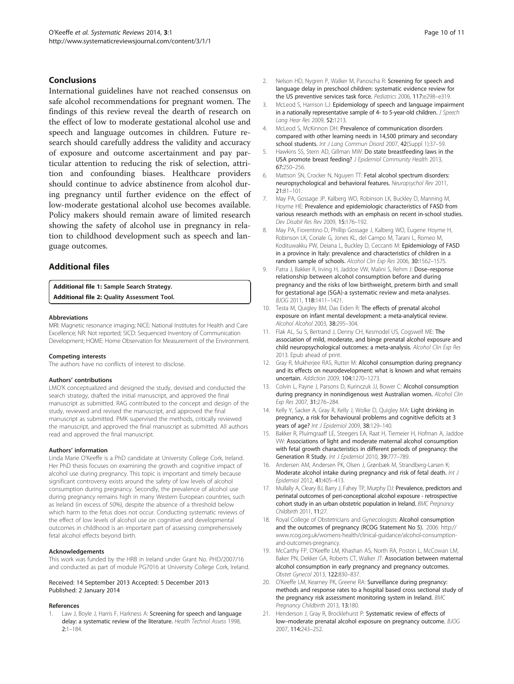# <span id="page-9-0"></span>Conclusions

International guidelines have not reached consensus on safe alcohol recommendations for pregnant women. The findings of this review reveal the dearth of research on the effect of low to moderate gestational alcohol use and speech and language outcomes in children. Future research should carefully address the validity and accuracy of exposure and outcome ascertainment and pay particular attention to reducing the risk of selection, attrition and confounding biases. Healthcare providers should continue to advice abstinence from alcohol during pregnancy until further evidence on the effect of low-moderate gestational alcohol use becomes available. Policy makers should remain aware of limited research showing the safety of alcohol use in pregnancy in relation to childhood development such as speech and language outcomes.

# Additional files

[Additional file 1:](http://www.biomedcentral.com/content/supplementary/2046-4053-3-1-S1.doc) Sample Search Strategy. [Additional file 2:](http://www.biomedcentral.com/content/supplementary/2046-4053-3-1-S2.doc) Quality Assessment Tool.

#### Abbreviations

MRI: Magnetic resonance imaging; NICE: National Institutes for Health and Care Excellence; NR: Not reported; SICD: Sequenced Inventory of Communication Development; HOME: Home Observation for Measurement of the Environment.

#### Competing interests

The authors have no conflicts of interest to disclose.

#### Authors' contributions

LMO'K conceptualized and designed the study, devised and conducted the search strategy, drafted the initial manuscript, and approved the final manuscript as submitted. RAG contributed to the concept and design of the study, reviewed and revised the manuscript, and approved the final manuscript as submitted. PMK supervised the methods, critically reviewed the manuscript, and approved the final manuscript as submitted. All authors read and approved the final manuscript.

#### Authors' information

Linda Marie O'Keeffe is a PhD candidate at University College Cork, Ireland. Her PhD thesis focuses on examining the growth and cognitive impact of alcohol use during pregnancy. This topic is important and timely because significant controversy exists around the safety of low levels of alcohol consumption during pregnancy. Secondly, the prevalence of alcohol use during pregnancy remains high in many Western European countries, such as Ireland (in excess of 50%), despite the absence of a threshold below which harm to the fetus does not occur. Conducting systematic reviews of the effect of low levels of alcohol use on cognitive and developmental outcomes in childhood is an important part of assessing comprehensively fetal alcohol effects beyond birth.

#### Acknowledgements

This work was funded by the HRB in Ireland under Grant No. PHD/2007/16 and conducted as part of module PG7016 at University College Cork, Ireland.

#### Received: 14 September 2013 Accepted: 5 December 2013 Published: 2 January 2014

#### References

Law J, Boyle J, Harris F, Harkness A: Screening for speech and language delay: a systematic review of the literature. Health Technol Assess 1998, 2:1–184.

- 2. Nelson HD, Nygren P, Walker M, Panoscha R: Screening for speech and language delay in preschool children: systematic evidence review for the US preventive services task force. Pediatrics 2006, 117:e298–e319.
- McLeod S, Harrison LJ: Epidemiology of speech and language impairment in a nationally representative sample of 4- to 5-year-old children. J Speech Lang Hear Res 2009, 52:1213.
- 4. McLeod S, McKinnon DH: Prevalence of communication disorders compared with other learning needs in 14,500 primary and secondary school students. Int J Lang Commun Disord 2007, 42(Suppl 1):37-59.
- 5. Hawkins SS, Stern AD, Gillman MW: Do state breastfeeding laws in the USA promote breast feeding? J Epidemiol Community Health 2013, 67:250–256.
- 6. Mattson SN, Crocker N, Nguyen TT: Fetal alcohol spectrum disorders: neuropsychological and behavioral features. Neuropsychol Rev 2011, 21:81–101.
- 7. May PA, Gossage JP, Kalberg WO, Robinson LK, Buckley D, Manning M, Hoyme HE: Prevalence and epidemiologic characteristics of FASD from various research methods with an emphasis on recent in-school studies. Dev Disabil Res Rev 2009, 15:176–192.
- 8. May PA, Fiorentino D, Phillip Gossage J, Kalberg WO, Eugene Hoyme H, Robinson LK, Coriale G, Jones KL, del Campo M, Tarani L, Romeo M, Kodituwakku PW, Deiana L, Buckley D, Ceccanti M: Epidemiology of FASD in a province in Italy: prevalence and characteristics of children in a random sample of schools. Alcohol Clin Exp Res 2006, 30:1562–1575.
- 9. Patra J, Bakker R, Irving H, Jaddoe VW, Malini S, Rehm J: Dose-response relationship between alcohol consumption before and during pregnancy and the risks of low birthweight, preterm birth and small for gestational age (SGA)-a systematic review and meta-analyses. BJOG 2011, 118:1411–1421.
- 10. Testa M, Quigley BM, Das Eiden R: The effects of prenatal alcohol exposure on infant mental development: a meta-analytical review. Alcohol Alcohol 2003, 38:295–304.
- 11. Flak AL, Su S, Bertrand J, Denny CH, Kesmodel US, Cogswell ME: The association of mild, moderate, and binge prenatal alcohol exposure and child neuropsychological outcomes: a meta-analysis. Alcohol Clin Exp Res 2013. Epub ahead of print.
- 12. Gray R, Mukherjee RAS, Rutter M: Alcohol consumption during pregnancy and its effects on neurodevelopment: what is known and what remains uncertain. Addiction 2009, 104:1270–1273.
- 13. Colvin L, Payne J, Parsons D, Kurinczuk JJ, Bower C: Alcohol consumption during pregnancy in nonindigenous west Australian women. Alcohol Clin Exp Res 2007, 31:276–284.
- 14. Kelly Y, Sacker A, Gray R, Kelly J, Wolke D, Quigley MA: Light drinking in pregnancy, a risk for behavioural problems and cognitive deficits at 3 years of age? Int J Epidemiol 2009, 38:129-140.
- 15. Bakker R, Pluimgraaff LE, Steegers EA, Raat H, Tiemeier H, Hofman A, Jaddoe VW: Associations of light and moderate maternal alcohol consumption with fetal growth characteristics in different periods of pregnancy: the Generation R Study. Int J Epidemiol 2010, 39:777–789.
- 16. Andersen AM, Andersen PK, Olsen J, Grønbæk M, Strandberg-Larsen K: Moderate alcohol intake during pregnancy and risk of fetal death. Int J Epidemiol 2012, 41:405–413.
- 17. Mullally A, Cleary BJ, Barry J, Fahey TP, Murphy DJ: Prevalence, predictors and perinatal outcomes of peri-conceptional alcohol exposure - retrospective cohort study in an urban obstetric population in Ireland. BMC Pregnancy Childbirth 2011, 11:27.
- 18. Royal College of Obstetricians and Gynecologists: Alcohol consumption and the outcomes of pregnancy (RCOG Statement No 5). 2006: [http://](http://www.rcog.org.uk/womens-health/clinical-guidance/alcohol-consumption-and-outcomes-pregnancy) [www.rcog.org.uk/womens-health/clinical-guidance/alcohol-consumption](http://www.rcog.org.uk/womens-health/clinical-guidance/alcohol-consumption-and-outcomes-pregnancy)[and-outcomes-pregnancy](http://www.rcog.org.uk/womens-health/clinical-guidance/alcohol-consumption-and-outcomes-pregnancy).
- 19. McCarthy FP, O'Keeffe LM, Khashan AS, North RA, Poston L, McCowan LM, Baker PN, Dekker GA, Roberts CT, Walker JT: Association between maternal alcohol consumption in early pregnancy and pregnancy outcomes. Obstet Gynecol 2013, 122:830–837.
- 20. O'Keeffe LM, Kearney PK, Greene RA: Surveillance during pregnancy: methods and response rates to a hospital based cross sectional study of the pregnancy risk assessment monitoring system in Ireland. BMC Pregnancy Childbirth 2013, 13:180.
- 21. Henderson J, Gray R, Brocklehurst P: Systematic review of effects of low-moderate prenatal alcohol exposure on pregnancy outcome. BJOG 2007, 114:243–252.